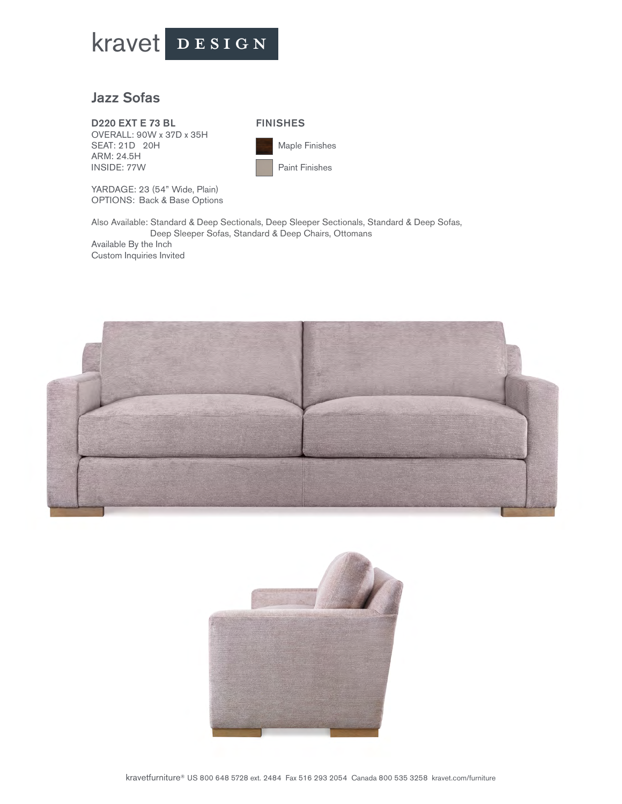

## Jazz Sofas

D220 EXT E 73 BL OVERALL: 90W x 37D x 35H SEAT: 21D 20H ARM: 24.5H INSIDE: 77W



 Maple Finishes Paint Finishes

YARDAGE: 23 (54" Wide, Plain) OPTIONS: Back & Base Options

Also Available: Standard & Deep Sectionals, Deep Sleeper Sectionals, Standard & Deep Sofas, Deep Sleeper Sofas, Standard & Deep Chairs, Ottomans Available By the Inch Custom Inquiries Invited